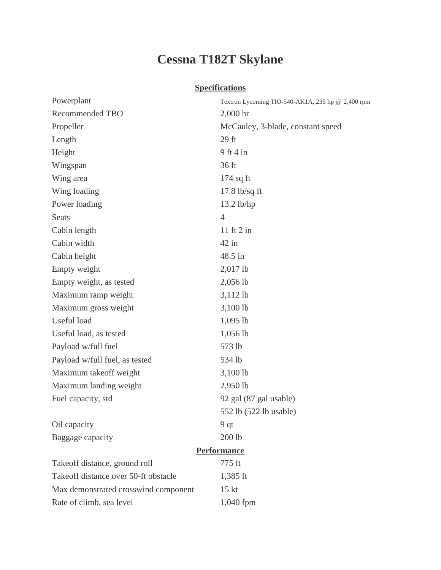## **Cessna T182T Skylane**

## **Specifications**

| Powerplant                           | Textron Lycoming TIO-540-AK1A, 235 hp @ 2,400 rpm |
|--------------------------------------|---------------------------------------------------|
| <b>Recommended TBO</b>               | $2,000$ hr                                        |
| Propeller                            | McCauley, 3-blade, constant speed                 |
| Length                               | $29$ ft                                           |
| Height                               | $9$ ft 4 in                                       |
| Wingspan                             | 36 ft                                             |
| Wing area                            | $174$ sq ft                                       |
| Wing loading                         | $17.8$ lb/sq ft                                   |
| Power loading                        | $13.2$ lb/hp                                      |
| <b>Seats</b>                         | $\overline{4}$                                    |
| Cabin length                         | 11 ft $2$ in                                      |
| Cabin width                          | $42$ in                                           |
| Cabin height                         | 48.5 in                                           |
| Empty weight                         | $2,017$ lb                                        |
| Empty weight, as tested              | 2,056 lb                                          |
| Maximum ramp weight                  | 3,112 lb                                          |
| Maximum gross weight                 | $3,100$ lb                                        |
| Useful load                          | $1,095$ lb                                        |
| Useful load, as tested               | $1,056$ lb                                        |
| Payload w/full fuel                  | 573 lb                                            |
| Payload w/full fuel, as tested       | 534 lb                                            |
| Maximum takeoff weight               | $3,100$ lb                                        |
| Maximum landing weight               | 2,950 lb                                          |
| Fuel capacity, std                   | 92 gal (87 gal usable)                            |
|                                      | 552 lb (522 lb usable)                            |
| Oil capacity                         | 9 qt                                              |
| Baggage capacity                     | 200 lb                                            |
|                                      | <b>Performance</b>                                |
| Takeoff distance, ground roll        | 775 ft                                            |
| Takeoff distance over 50-ft obstacle | $1,385$ ft                                        |
| Max demonstrated crosswind component | 15 <sub>kt</sub>                                  |
| Rate of climb, sea level             | $1,040$ fpm                                       |